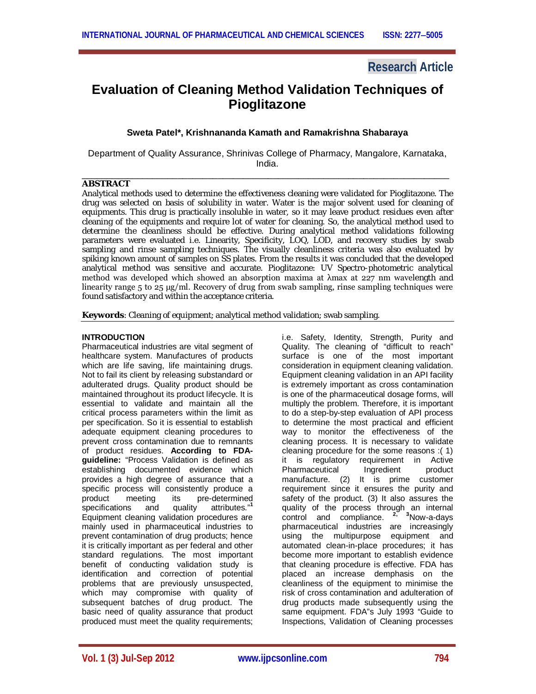# **Research Article**

# **Evaluation of Cleaning Method Validation Techniques of Pioglitazone**

# **Sweta Patel\*, Krishnananda Kamath and Ramakrishna Shabaraya**

Department of Quality Assurance, Shrinivas College of Pharmacy, Mangalore, Karnataka, India.

## \_\_\_\_\_\_\_\_\_\_\_\_\_\_\_\_\_\_\_\_\_\_\_\_\_\_\_\_\_\_\_\_\_\_\_\_\_\_\_\_\_\_\_\_\_\_\_\_\_\_\_\_\_\_\_\_\_\_\_\_\_\_\_\_\_\_\_\_\_\_\_\_\_ **ABSTRACT**

Analytical methods used to determine the effectiveness cleaning were validated for Pioglitazone. The drug was selected on basis of solubility in water. Water is the major solvent used for cleaning of equipments. This drug is practically insoluble in water, so it may leave product residues even after cleaning of the equipments and require lot of water for cleaning. So, the analytical method used to determine the cleanliness should be effective. During analytical method validations following parameters were evaluated i.e. Linearity, Specificity, LOQ, LOD, and recovery studies by swab sampling and rinse sampling techniques. The visually cleanliness criteria was also evaluated by spiking known amount of samples on SS plates. From the results it was concluded that the developed analytical method was sensitive and accurate. Pioglitazone: UV Spectro-photometric analytical method was developed which showed an absorption maxima at λmax at 227 nm wavelength and linearity range 5 to 25 μg/ml. Recovery of drug from swab sampling, rinse sampling techniques were found satisfactory and within the acceptance criteria.

**Keywords**: Cleaning of equipment; analytical method validation; swab sampling.

# **INTRODUCTION**

Pharmaceutical industries are vital segment of healthcare system. Manufactures of products which are life saving, life maintaining drugs. Not to fail its client by releasing substandard or adulterated drugs. Quality product should be maintained throughout its product lifecycle. It is essential to validate and maintain all the critical process parameters within the limit as per specification. So it is essential to establish adequate equipment cleaning procedures to prevent cross contamination due to remnants of product residues. **According to FDAguideline:** "Process Validation is defined as establishing documented evidence which provides a high degree of assurance that a specific process will consistently produce a product meeting its pre-determined<br>specifications and quality attributes."<sup>1</sup> quality attributes."<sup>1</sup> Equipment cleaning validation procedures are mainly used in pharmaceutical industries to prevent contamination of drug products; hence it is critically important as per federal and other standard regulations. The most important benefit of conducting validation study is identification and correction of potential problems that are previously unsuspected, which may compromise with quality of subsequent batches of drug product. The basic need of quality assurance that product produced must meet the quality requirements; i.e. Safety, Identity, Strength, Purity and Quality. The cleaning of "difficult to reach" surface is one of the most important consideration in equipment cleaning validation. Equipment cleaning validation in an API facility is extremely important as cross contamination is one of the pharmaceutical dosage forms, will multiply the problem. Therefore, it is important to do a step-by-step evaluation of API process to determine the most practical and efficient way to monitor the effectiveness of the cleaning process. It is necessary to validate cleaning procedure for the some reasons :( 1) it is regulatory requirement in Active Pharmaceutical Ingredient product manufacture. (2) It is prime customer requirement since it ensures the purity and safety of the product. (3) It also assures the quality of the process through an internal control and compliance. **2, 3**Now-a-days pharmaceutical industries are increasingly using the multipurpose equipment and automated clean-in-place procedures; it has become more important to establish evidence that cleaning procedure is effective. FDA has placed an increase demphasis on the cleanliness of the equipment to minimise the risk of cross contamination and adulteration of drug products made subsequently using the same equipment. FDA"s July 1993 "Guide to Inspections, Validation of Cleaning processes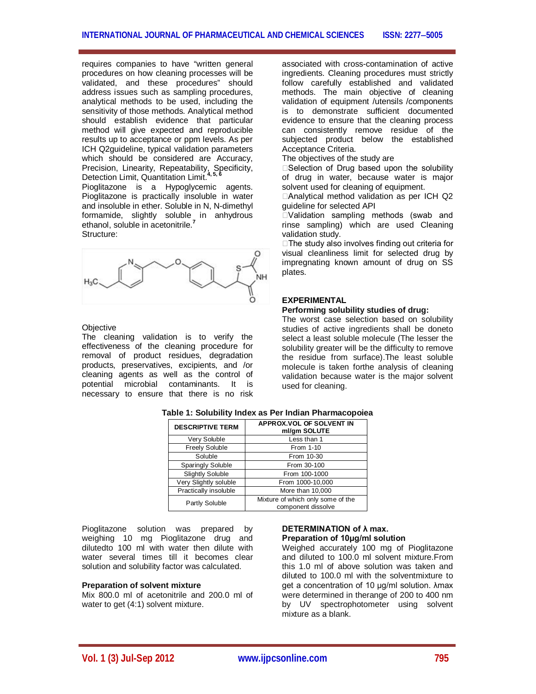requires companies to have "written general procedures on how cleaning processes will be validated, and these procedures" should address issues such as sampling procedures, analytical methods to be used, including the sensitivity of those methods. Analytical method should establish evidence that particular method will give expected and reproducible results up to acceptance or ppm levels. As per ICH Q2guideline, typical validation parameters which should be considered are Accuracy, ment contains Linearity, Repeatability, Specificity, Detection Limit, Quantitation Limit.<sup>4</sup> Pioglitazone is a Hypoglycemic agents. Pioglitazone is practically insoluble in water and insoluble in ether. Soluble in N, N-dimethyl

formamide, slightly soluble in anhydrous ethanol, soluble in acetonitrile.**<sup>7</sup>** Structure:



#### **Objective**

The cleaning validation is to verify the effectiveness of the cleaning procedure for removal of product residues, degradation products, preservatives, excipients, and /or cleaning agents as well as the control of potential microbial contaminants. It is necessary to ensure that there is no risk associated with cross-contamination of active ingredients. Cleaning procedures must strictly follow carefully established and validated methods. The main objective of cleaning validation of equipment /utensils /components is to demonstrate sufficient documented evidence to ensure that the cleaning process can consistently remove residue of the subjected product below the established Acceptance Criteria.

The objectives of the study are

□Selection of Drug based upon the solubility of drug in water, because water is major solvent used for cleaning of equipment.

□Analytical method validation as per ICH Q2 guideline for selected API

Validation sampling methods (swab and rinse sampling) which are used Cleaning validation study.

□The study also involves finding out criteria for visual cleanliness limit for selected drug by impregnating known amount of drug on SS plates.

## **EXPERIMENTAL**

#### **Performing solubility studies of drug:**

The worst case selection based on solubility studies of active ingredients shall be doneto select a least soluble molecule (The lesser the solubility greater will be the difficulty to remove the residue from surface).The least soluble molecule is taken forthe analysis of cleaning validation because water is the major solvent used for cleaning.

| <b>DESCRIPTIVE TERM</b>  | APPROX.VOL OF SOLVENT IN<br>ml/gm SOLUTE                |  |
|--------------------------|---------------------------------------------------------|--|
| Very Soluble             | Less than 1                                             |  |
| <b>Freely Soluble</b>    | From 1-10                                               |  |
| Soluble                  | From 10-30                                              |  |
| <b>Sparingly Soluble</b> | From 30-100                                             |  |
| <b>Slightly Soluble</b>  | From 100-1000                                           |  |
| Very Slightly soluble    | From 1000-10,000                                        |  |
| Practically insoluble    | More than 10,000                                        |  |
| Partly Soluble           | Mixture of which only some of the<br>component dissolve |  |

#### **Table 1: Solubility Index as Per Indian Pharmacopoiea**

Pioglitazone solution was prepared by weighing 10 mg Pioglitazone drug and dilutedto 100 ml with water then dilute with water several times till it becomes clear solution and solubility factor was calculated.

#### **Preparation of solvent mixture**

Mix 800.0 ml of acetonitrile and 200.0 ml of water to get (4:1) solvent mixture.

## **DETERMINATION of λ max. Preparation of 10μg/ml solution**

Weighed accurately 100 mg of Pioglitazone and diluted to 100.0 ml solvent mixture.From this 1.0 ml of above solution was taken and diluted to 100.0 ml with the solventmixture to get a concentration of 10 μg/ml solution. λmax were determined in therange of 200 to 400 nm by UV spectrophotometer using solvent mixture as a blank.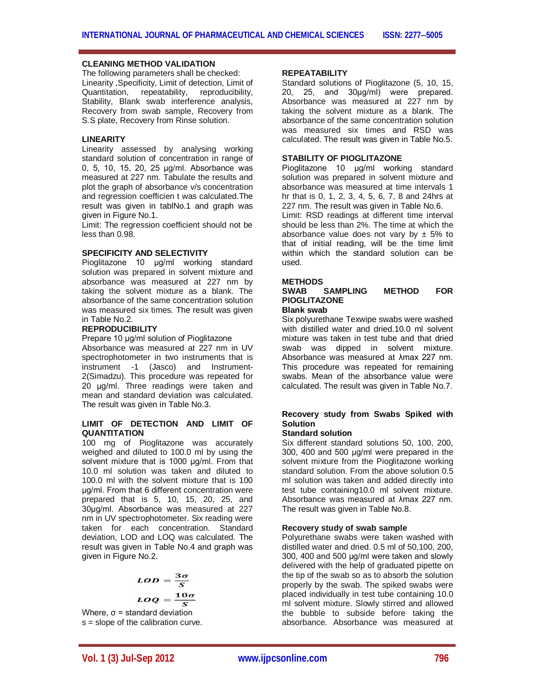# **CLEANING METHOD VALIDATION**

The following parameters shall be checked: Linearity ,Specificity, Limit of detection, Limit of Quantitation, repeatability, reproducibility, Stability, Blank swab interference analysis, Recovery from swab sample, Recovery from S.S plate, Recovery from Rinse solution.

# **LINEARITY**

Linearity assessed by analysing working standard solution of concentration in range of 0, 5, 10, 15, 20, 25 μg/ml. Absorbance was measured at 227 nm. Tabulate the results and plot the graph of absorbance v/s concentration and regression coefficien t was calculated.The result was given in tablNo.1 and graph was given in Figure No.1.

Limit: The regression coefficient should not be less than 0.98.

# **SPECIFICITY AND SELECTIVITY**

Pioglitazone 10 μg/ml working standard solution was prepared in solvent mixture and absorbance was measured at 227 nm by taking the solvent mixture as a blank. The absorbance of the same concentration solution was measured six times. The result was given in Table No.2.

#### **REPRODUCIBILITY**

Prepare 10 μg/ml solution of Pioglitazone Absorbance was measured at 227 nm in UV spectrophotometer in two instruments that is instrument -1 (Jasco) and Instrument-2(Simadzu). This procedure was repeated for 20 μg/ml. Three readings were taken and mean and standard deviation was calculated. The result was given in Table No.3.

# **LIMIT OF DETECTION AND LIMIT OF QUANTITATION**

100 mg of Pioglitazone was accurately weighed and diluted to 100.0 ml by using the solvent mixture that is 1000 μg/ml. From that 10.0 ml solution was taken and diluted to 100.0 ml with the solvent mixture that is 100 μg/ml. From that 6 different concentration were prepared that is 5, 10, 15, 20, 25, and 30μg/ml. Absorbance was measured at 227 nm in UV spectrophotometer. Six reading were taken for each concentration. Standard deviation, LOD and LOQ was calculated. The result was given in Table No.4 and graph was given in Figure No.2.

$$
LOD = \frac{3\sigma}{S}
$$

$$
LOQ = \frac{10\sigma}{S}
$$

Where,  $\sigma$  = standard deviation s = slope of the calibration curve.

# **REPEATABILITY**

Standard solutions of Pioglitazone (5, 10, 15, 20, 25, and 30μg/ml) were prepared. Absorbance was measured at 227 nm by taking the solvent mixture as a blank. The absorbance of the same concentration solution was measured six times and RSD was calculated. The result was given in Table No.5.

# **STABILITY OF PIOGLITAZONE**

Pioglitazone 10 μg/ml working standard solution was prepared in solvent mixture and absorbance was measured at time intervals 1 hr that is 0, 1, 2, 3, 4, 5, 6, 7, 8 and 24hrs at 227 nm. The result was given in Table No.6.

Limit: RSD readings at different time interval should be less than 2%. The time at which the absorbance value does not vary by  $\pm$  5% to that of initial reading, will be the time limit within which the standard solution can be used.

# **METHODS**

## SAMPLING METHOD FOR **PIOGLITAZONE Blank swab**

Six polyurethane Texwipe swabs were washed with distilled water and dried.10.0 ml solvent mixture was taken in test tube and that dried swab was dipped in solvent mixture. Absorbance was measured at λmax 227 nm. This procedure was repeated for remaining swabs. Mean of the absorbance value were calculated. The result was given in Table No.7.

# **Recovery study from Swabs Spiked with Solution**

#### **Standard solution**

Six different standard solutions 50, 100, 200, 300, 400 and 500 μg/ml were prepared in the solvent mixture from the Pioglitazone working standard solution. From the above solution 0.5 ml solution was taken and added directly into test tube containing10.0 ml solvent mixture. Absorbance was measured at λmax 227 nm. The result was given in Table No.8.

#### **Recovery study of swab sample**

Polyurethane swabs were taken washed with distilled water and dried. 0.5 ml of 50,100, 200, 300, 400 and 500 μg/ml were taken and slowly delivered with the help of graduated pipette on the tip of the swab so as to absorb the solution properly by the swab. The spiked swabs were placed individually in test tube containing 10.0 ml solvent mixture. Slowly stirred and allowed the bubble to subside before taking the absorbance. Absorbance was measured at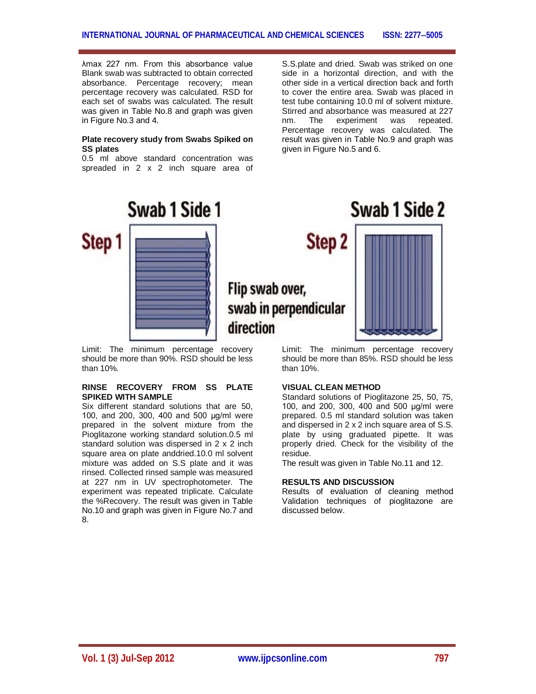λmax 227 nm. From this absorbance value Blank swab was subtracted to obtain corrected absorbance. Percentage recovery; mean percentage recovery was calculated. RSD for each set of swabs was calculated. The result was given in Table No.8 and graph was given in Figure No.3 and 4.

# **Plate recovery study from Swabs Spiked on SS plates**

0.5 ml above standard concentration was spreaded in 2 x 2 inch square area of

S.S.plate and dried. Swab was striked on one side in a horizontal direction, and with the other side in a vertical direction back and forth to cover the entire area. Swab was placed in test tube containing 10.0 ml of solvent mixture. Stirred and absorbance was measured at 227 nm. The experiment was repeated. Percentage recovery was calculated. The result was given in Table No.9 and graph was given in Figure No.5 and 6.

Swab 1 Side 2



Limit: The minimum percentage recovery should be more than 90%. RSD should be less than 10%.

# **RINSE RECOVERY FROM SS PLATE SPIKED WITH SAMPLE**

Six different standard solutions that are 50, 100, and 200, 300, 400 and 500 μg/ml were prepared in the solvent mixture from the Pioglitazone working standard solution.0.5 ml standard solution was dispersed in 2 x 2 inch square area on plate anddried.10.0 ml solvent mixture was added on S.S plate and it was rinsed. Collected rinsed sample was measured at 227 nm in UV spectrophotometer. The experiment was repeated triplicate. Calculate the %Recovery. The result was given in Table No.10 and graph was given in Figure No.7 and 8.

# Step<sub>2</sub> Flip swab over, swab in perpendicular direction

Limit: The minimum percentage recovery should be more than 85%. RSD should be less than 10%.

# **VISUAL CLEAN METHOD**

Standard solutions of Pioglitazone 25, 50, 75, 100, and 200, 300, 400 and 500 μg/ml were prepared. 0.5 ml standard solution was taken and dispersed in 2 x 2 inch square area of S.S. plate by using graduated pipette. It was properly dried. Check for the visibility of the residue.

The result was given in Table No.11 and 12.

# **RESULTS AND DISCUSSION**

Results of evaluation of cleaning method Validation techniques of pioglitazone are discussed below.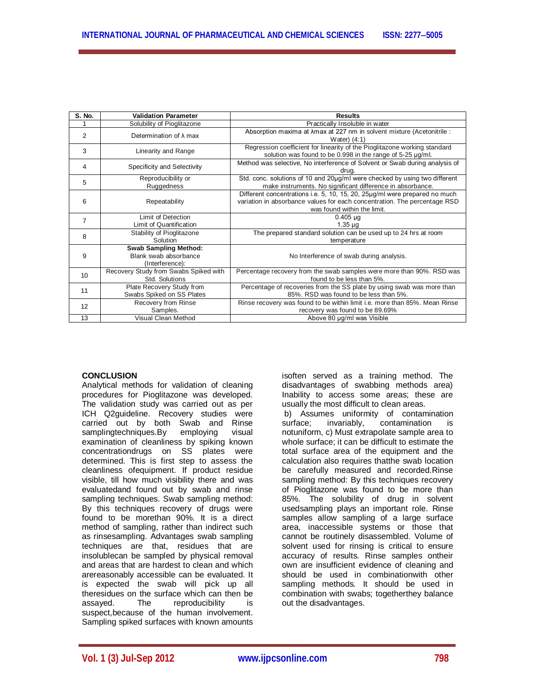| S. No.         | <b>Validation Parameter</b>                                              | <b>Results</b>                                                                                                                                                                          |  |
|----------------|--------------------------------------------------------------------------|-----------------------------------------------------------------------------------------------------------------------------------------------------------------------------------------|--|
|                | Solubility of Pioglitazone                                               | Practically Insoluble in water                                                                                                                                                          |  |
| 2              | Determination of $\lambda$ max                                           | Absorption maxima at $\lambda$ max at 227 nm in solvent mixture (Acetonitrile :<br>Water $(4:1)$                                                                                        |  |
| 3              | Linearity and Range                                                      | Regression coefficient for linearity of the Pioglitazone working standard<br>solution was found to be 0.998 in the range of 5-25 µg/ml.                                                 |  |
| 4              | Specificity and Selectivity                                              | Method was selective, No interference of Solvent or Swab during analysis of<br>drua.                                                                                                    |  |
| 5              | Reproducibility or<br>Ruggedness                                         | Std. conc. solutions of 10 and 20µq/ml were checked by using two different<br>make instruments. No significant difference in absorbance.                                                |  |
| 6              | Repeatability                                                            | Different concentrations i.e. 5, 10, 15, 20, 25 µg/ml were prepared no much<br>variation in absorbance values for each concentration. The percentage RSD<br>was found within the limit. |  |
| $\overline{7}$ | Limit of Detection<br>Limit of Quantification                            | $0.405 \mu g$<br>$1.35 \mu g$                                                                                                                                                           |  |
| 8              | Stability of Pioglitazone<br>Solution                                    | The prepared standard solution can be used up to 24 hrs at room<br>temperature                                                                                                          |  |
| 9              | <b>Swab Sampling Method:</b><br>Blank swab absorbance<br>(Interference): | No Interference of swab during analysis.                                                                                                                                                |  |
| 10             | Recovery Study from Swabs Spiked with<br>Std. Solutions                  | Percentage recovery from the swab samples were more than 90%. RSD was<br>found to be less than 5%.                                                                                      |  |
| 11             | Plate Recovery Study from<br>Swabs Spiked on SS Plates                   | Percentage of recoveries from the SS plate by using swab was more than<br>85%. RSD was found to be less than 5%.                                                                        |  |
| 12             | Recovery from Rinse<br>Samples.                                          | Rinse recovery was found to be within limit i.e. more than 85%. Mean Rinse<br>recovery was found to be 89.69%                                                                           |  |
| 13             | Visual Clean Method                                                      | Above 80 µg/ml was Visible                                                                                                                                                              |  |

# **CONCLUSION**

Analytical methods for validation of cleaning procedures for Pioglitazone was developed. The validation study was carried out as per ICH Q2guideline. Recovery studies were carried out by both Swab and Rinse samplingtechniques.By employing visual examination of cleanliness by spiking known concentrationdrugs on SS plates were determined. This is first step to assess the cleanliness ofequipment. If product residue visible, till how much visibility there and was evaluatedand found out by swab and rinse sampling techniques. Swab sampling method: By this techniques recovery of drugs were found to be morethan 90%. It is a direct method of sampling, rather than indirect such as rinsesampling. Advantages swab sampling techniques are that, residues that are insolublecan be sampled by physical removal and areas that are hardest to clean and which arereasonably accessible can be evaluated. It is expected the swab will pick up all theresidues on the surface which can then be assaved. The reproducibility is The reproducibility is suspect,because of the human involvement. Sampling spiked surfaces with known amounts isoften served as a training method. The disadvantages of swabbing methods area) Inability to access some areas; these are usually the most difficult to clean areas. b) Assumes uniformity of contamination surface; invariably, contamination is notuniform, c) Must extrapolate sample area to whole surface; it can be difficult to estimate the total surface area of the equipment and the calculation also requires thatthe swab location be carefully measured and recorded.Rinse sampling method: By this techniques recovery of Pioglitazone was found to be more than 85%. The solubility of drug in solvent usedsampling plays an important role. Rinse samples allow sampling of a large surface area, inaccessible systems or those that cannot be routinely disassembled. Volume of solvent used for rinsing is critical to ensure accuracy of results. Rinse samples ontheir own are insufficient evidence of cleaning and should be used in combinationwith other sampling methods. It should be used in combination with swabs; togetherthey balance out the disadvantages.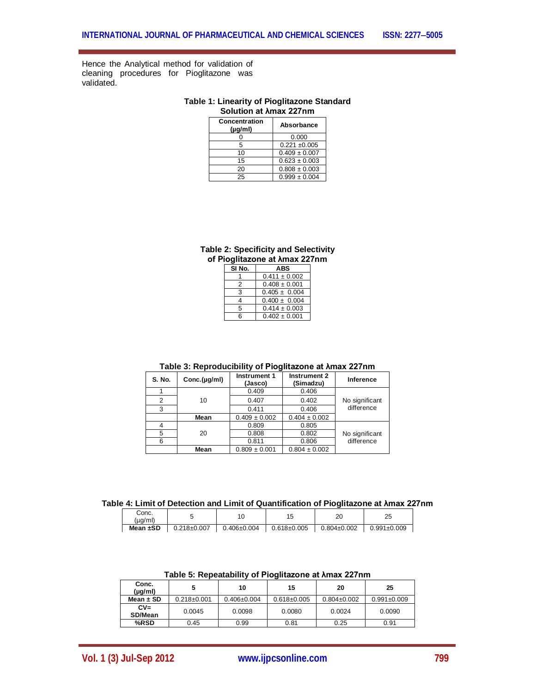Hence the Analytical method for validation of cleaning procedures for Pioglitazone was validated.

# **Table 1: Linearity of Pioglitazone Standard Solution at λmax 227nm**

| <b>Concentration</b><br>$(\mu q/m)$ | Absorbance        |
|-------------------------------------|-------------------|
|                                     | 0.000             |
| 5                                   | $0.221 \pm 0.005$ |
| 10                                  | $0.409 \pm 0.007$ |
| 15                                  | $0.623 \pm 0.003$ |
| 20                                  | $0.808 \pm 0.003$ |
| 25                                  | $0.999 \pm 0.004$ |

# **Table 2: Specificity and Selectivity of Pioglitazone at λmax 227nm**

| SI No. | ABS               |
|--------|-------------------|
|        | $0.411 \pm 0.002$ |
| 2      | $0.408 \pm 0.001$ |
| 3      | $0.405 \pm 0.004$ |
| Δ      | $0.400 \pm 0.004$ |
| 5      | $0.414 \pm 0.003$ |
| ี      | $0.402 \pm 0.001$ |

# **Table 3: Reproducibility of Pioglitazone at λmax 227nm**

| S. No. | Conc.(µg/ml) | Instrument 1<br>(Jasco) | Instrument 2<br>(Simadzu) | Inference      |
|--------|--------------|-------------------------|---------------------------|----------------|
|        |              | 0.409                   | 0.406                     |                |
|        | 10           | 0.407                   | 0.402                     | No significant |
| 3      |              | 0.411                   | 0.406                     | difference     |
|        | Mean         | $0.409 \pm 0.002$       | $0.404 \pm 0.002$         |                |
|        |              | 0.809                   | 0.805                     |                |
| 5      | 20           | 0.808                   | 0.802                     | No significant |
| 6      |              | 0.811                   | 0.806                     | difference     |
|        | Mean         | $0.809 \pm 0.001$       | $0.804 \pm 0.002$         |                |

# **Table 4: Limit of Detection and Limit of Quantification of Pioglitazone at λmax 227nm**

| Conc.<br>(µg/ml) |                 | <b>U</b>         | 1 L<br>∪ו         | oc<br>∠∪          | 25                |
|------------------|-----------------|------------------|-------------------|-------------------|-------------------|
| Mean $\pm$ SD    | $0.218 + 0.007$ | $.406 \pm 0.004$ | $0.618 \pm 0.005$ | $0.804 \pm 0.002$ | $0.991 \pm 0.009$ |

# **Table 5: Repeatability of Pioglitazone at λmax 227nm**

| Conc.<br>(µg/ml)  |                   | 10                | 15                | 20                | 25                |
|-------------------|-------------------|-------------------|-------------------|-------------------|-------------------|
| Mean $\pm$ SD     | $0.218 \pm 0.001$ | $0.406 \pm 0.004$ | $0.618 \pm 0.005$ | $0.804 \pm 0.002$ | $0.991 \pm 0.009$ |
| $CV =$<br>SD/Mean | 0.0045            | 0.0098            | 0.0080            | 0.0024            | 0.0090            |
| %RSD              | 0.45              | 0.99              | 0.81              | 0.25              | 0.91              |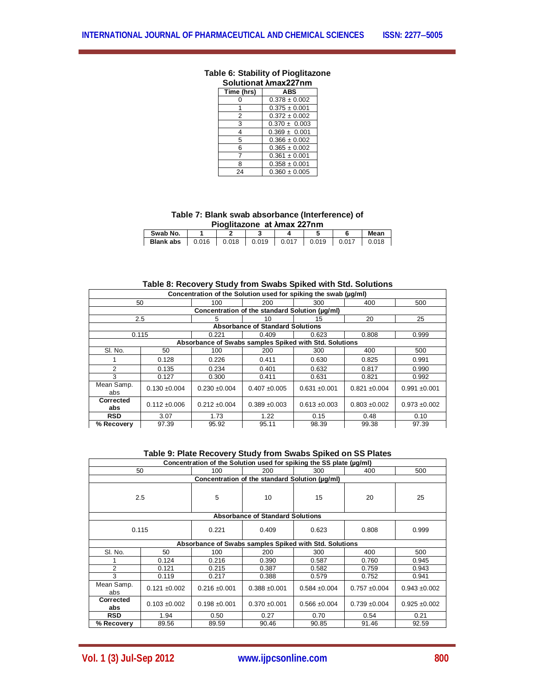| JIIAL AIIK<br>$\epsilon$ , $\epsilon$ |                   |  |  |  |  |
|---------------------------------------|-------------------|--|--|--|--|
| Time (hrs)                            | <b>ABS</b>        |  |  |  |  |
|                                       | $0.378 \pm 0.002$ |  |  |  |  |
|                                       | $0.375 \pm 0.001$ |  |  |  |  |
| 2                                     | $0.372 \pm 0.002$ |  |  |  |  |
| 3                                     | $0.370 \pm 0.003$ |  |  |  |  |
| 4                                     | $0.369 \pm 0.001$ |  |  |  |  |
| 5                                     | $0.366 \pm 0.002$ |  |  |  |  |
| 6                                     | $0.365 \pm 0.002$ |  |  |  |  |
|                                       | $0.361 \pm 0.001$ |  |  |  |  |
| 8                                     | $0.358 \pm 0.001$ |  |  |  |  |
| 24                                    | $0.360 \pm 0.005$ |  |  |  |  |

#### **Table 6: Stability of Pioglitazone Solutionat λmax227nm**

**Table 7: Blank swab absorbance (Interference) of Pioglitazone at λmax 227nm**

| PIOGIIIAZONE AL ANIAX ZZTINI |       |       |       |       |       |       |       |  |
|------------------------------|-------|-------|-------|-------|-------|-------|-------|--|
| Swab No.<br>Mean             |       |       |       |       |       |       |       |  |
| <b>Blank abs</b>             | 0.016 | 0.018 | 0.019 | 0.017 | 0.019 | 0.017 | 0.018 |  |

# **Table 8: Recovery Study from Swabs Spiked with Std. Solutions**

| Concentration of the Solution used for spiking the swab (ug/ml) |                   |                                                        |                                                |                   |                   |                 |  |
|-----------------------------------------------------------------|-------------------|--------------------------------------------------------|------------------------------------------------|-------------------|-------------------|-----------------|--|
|                                                                 | 50                | 100                                                    | 200                                            | 300               | 400               | 500             |  |
|                                                                 |                   |                                                        | Concentration of the standard Solution (µq/ml) |                   |                   |                 |  |
|                                                                 | 2.5               | 5.                                                     | 10                                             | 15                | 20                | 25              |  |
|                                                                 |                   |                                                        | <b>Absorbance of Standard Solutions</b>        |                   |                   |                 |  |
|                                                                 | 0.115             | 0.221                                                  | 0.409                                          | 0.623             | 0.808             | 0.999           |  |
|                                                                 |                   | Absorbance of Swabs samples Spiked with Std. Solutions |                                                |                   |                   |                 |  |
| SI. No.                                                         | 50                | 100                                                    | 200                                            | 300               | 400               | 500             |  |
|                                                                 | 0.128             | 0.226                                                  | 0.411                                          | 0.630             | 0.825             | 0.991           |  |
| $\mathfrak{p}$                                                  | 0.135             | 0.234                                                  | 0.401                                          | 0.632             | 0.817             | 0.990           |  |
| 3                                                               | 0.127             | 0.300                                                  | 0.411                                          | 0.631             | 0.821             | 0.992           |  |
| Mean Samp.<br>abs                                               | $0.130 \pm 0.004$ | $0.230 + 0.004$                                        | $0.407 + 0.005$                                | $0.631 + 0.001$   | $0.821 \pm 0.004$ | $0.991 + 0.001$ |  |
| Corrected<br>abs                                                | $0.112 \pm 0.006$ | $0.212 \pm 0.004$                                      | $0.389 + 0.003$                                | $0.613 \pm 0.003$ | $0.803 + 0.002$   | $0.973 + 0.002$ |  |
| <b>RSD</b>                                                      | 3.07              | 1.73                                                   | 1.22                                           | 0.15              | 0.48              | 0.10            |  |
| % Recovery                                                      | 97.39             | 95.92                                                  | 95.11                                          | 98.39             | 99.38             | 97.39           |  |

**Table 9: Plate Recovery Study from Swabs Spiked on SS Plates**

| Concentration of the Solution used for spiking the SS plate (µq/ml) |                                                |                   |                                         |                                                        |                 |                   |  |  |  |  |
|---------------------------------------------------------------------|------------------------------------------------|-------------------|-----------------------------------------|--------------------------------------------------------|-----------------|-------------------|--|--|--|--|
|                                                                     | 50                                             | 100               | 200                                     | 300                                                    | 400             | 500               |  |  |  |  |
|                                                                     | Concentration of the standard Solution (µq/ml) |                   |                                         |                                                        |                 |                   |  |  |  |  |
| 2.5                                                                 |                                                | 5                 | 10                                      | 15                                                     | 20              | 25                |  |  |  |  |
|                                                                     |                                                |                   | <b>Absorbance of Standard Solutions</b> |                                                        |                 |                   |  |  |  |  |
| 0.115                                                               |                                                | 0.221             | 0.409                                   | 0.623                                                  | 0.808           | 0.999             |  |  |  |  |
|                                                                     |                                                |                   |                                         | Absorbance of Swabs samples Spiked with Std. Solutions |                 |                   |  |  |  |  |
| SI. No.                                                             | 50                                             | 100               | 200                                     | 300                                                    | 400             | 500               |  |  |  |  |
|                                                                     | 0.124                                          | 0.216             | 0.390                                   | 0.587                                                  | 0.760           | 0.945             |  |  |  |  |
| $\mathcal{P}$                                                       | 0.121                                          | 0.215             | 0.387                                   | 0.582                                                  | 0.759           | 0.943             |  |  |  |  |
| 3                                                                   | 0.119                                          | 0.217             | 0.388                                   | 0.579                                                  | 0.752           | 0.941             |  |  |  |  |
| Mean Samp.<br>abs                                                   | $0.121 \pm 0.002$                              | $0.216 \pm 0.001$ | $0.388 + 0.001$                         | $0.584 \pm 0.004$                                      | $0.757 + 0.004$ | $0.943 + 0.002$   |  |  |  |  |
| <b>Corrected</b><br>abs                                             | $0.103 + 0.002$                                | $0.198 + 0.001$   | $0.370 + 0.001$                         | $0.566 \pm 0.004$                                      | $0.739 + 0.004$ | $0.925 \pm 0.002$ |  |  |  |  |
| <b>RSD</b>                                                          | 1.94                                           | 0.50              | 0.27                                    | 0.70                                                   | 0.54            | 0.21              |  |  |  |  |
| % Recovery                                                          | 89.56                                          | 89.59             | 90.46                                   | 90.85                                                  | 91.46           | 92.59             |  |  |  |  |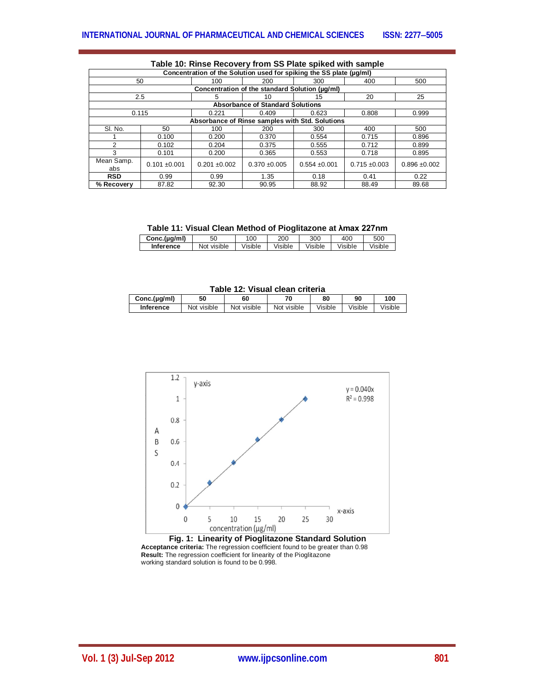| <b>Table TV. NIISE NECOVERY ITOM SO FIALE SPINED WILL SAMPLE</b>    |                 |                                                 |                                                |                   |                   |                 |  |  |
|---------------------------------------------------------------------|-----------------|-------------------------------------------------|------------------------------------------------|-------------------|-------------------|-----------------|--|--|
| Concentration of the Solution used for spiking the SS plate (µg/ml) |                 |                                                 |                                                |                   |                   |                 |  |  |
|                                                                     | 50              | 100                                             | 200                                            | 300               | 400               | 500             |  |  |
|                                                                     |                 |                                                 | Concentration of the standard Solution (ug/ml) |                   |                   |                 |  |  |
|                                                                     | 2.5             |                                                 | 10                                             | 15                | 20                | 25              |  |  |
|                                                                     |                 |                                                 | <b>Absorbance of Standard Solutions</b>        |                   |                   |                 |  |  |
|                                                                     | 0.115           | 0.221                                           | 0.409                                          | 0.623             | 0.808             | 0.999           |  |  |
|                                                                     |                 | Absorbance of Rinse samples with Std. Solutions |                                                |                   |                   |                 |  |  |
| SI. No.                                                             | 50              | 100                                             | 200                                            | 300               | 400               | 500             |  |  |
|                                                                     | 0.100           | 0.200                                           | 0.370                                          | 0.554             | 0.715             | 0.896           |  |  |
| $\mathcal{P}$                                                       | 0.102           | 0.204                                           | 0.375                                          | 0.555             | 0.712             | 0.899           |  |  |
| 3                                                                   | 0.101           | 0.200                                           | 0.365                                          | 0.553             | 0.718             | 0.895           |  |  |
| Mean Samp.<br>abs                                                   | $0.101 + 0.001$ | $0.201 \pm 0.002$                               | $0.370 + 0.005$                                | $0.554 \pm 0.001$ | $0.715 \pm 0.003$ | $0.896 + 0.002$ |  |  |
| <b>RSD</b>                                                          | 0.99            | 0.99                                            | 1.35                                           | 0.18              | 0.41              | 0.22            |  |  |
| % Recovery                                                          | 87.82           | 92.30                                           | 90.95                                          | 88.92             | 88.49             | 89.68           |  |  |

# **Table 10: Rinse Recovery from SS Plate spiked with sample**

**Table 11: Visual Clean Method of Pioglitazone at λmax 227nm**

| Conc.(µg/ml)     | 50                    | 00      | 200     | 300     | 40C     | 500     |
|------------------|-----------------------|---------|---------|---------|---------|---------|
| <b>Inference</b> | visible<br><b>Not</b> | Visible | /isible | /isible | Visible | /isible |

**Table 12: Visual clean criteria**

| Conc.(µg/ml) | 50          | 60          | 70          | 80      | 90      | 100     |
|--------------|-------------|-------------|-------------|---------|---------|---------|
| Inference    | Not visible | Not visible | Not visible | Visible | Visible | Visible |



**Fig. 1: Linearity of Pioglitazone Standard Solution Acceptance criteria:** The regression coefficient found to be greater than 0.98 **Result:** The regression coefficient for linearity of the Pioglitazone working standard solution is found to be 0.998.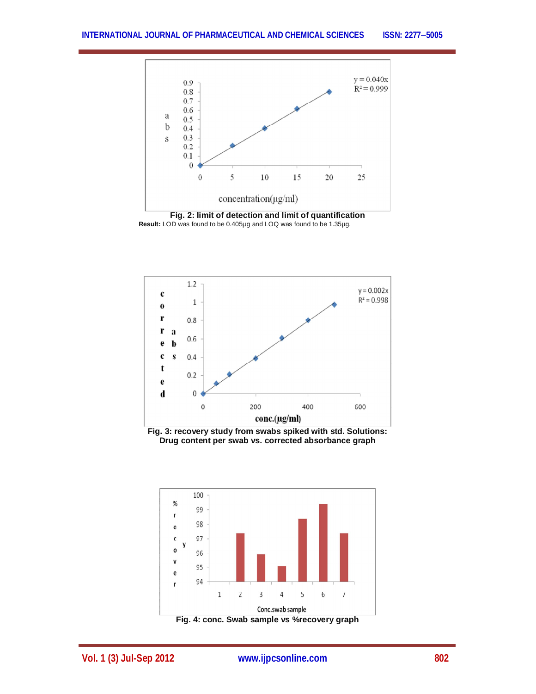

 **Result:** LOD was found to be 0.405µg and LOQ was found to be 1.35µg.



**Fig. 3: recovery study from swabs spiked with std. Solutions: Drug content per swab vs. corrected absorbance graph**



**Vol. 1 (3) Jul-Sep 2012 www.ijpcsonline.com 802**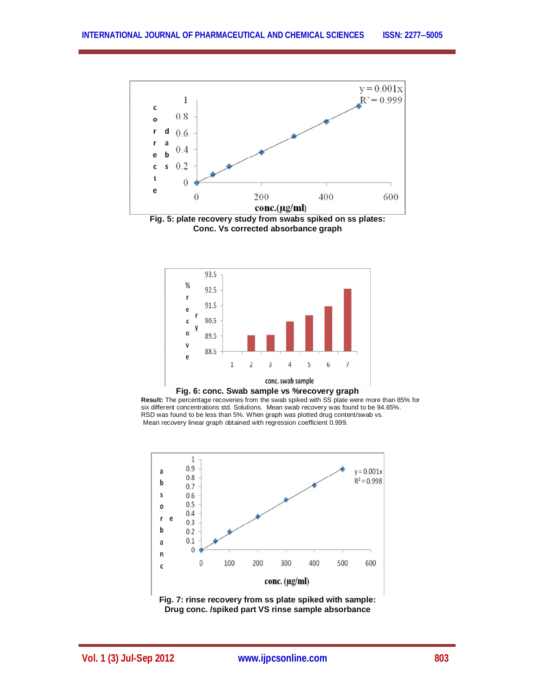

**Conc. Vs corrected absorbance graph**







**Fig. 7: rinse recovery from ss plate spiked with sample: Drug conc. /spiked part VS rinse sample absorbance**